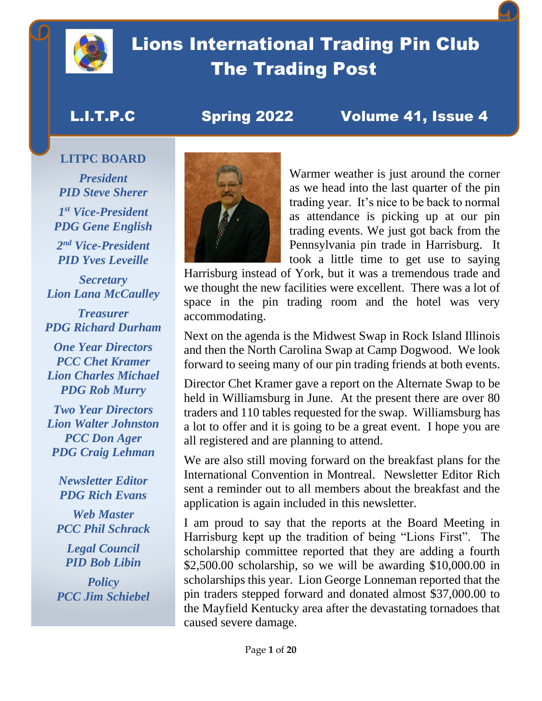

# Lions International Trading Pin Club The Trading Post

## L.I.T.P.C Spring 2022 Volume 41, Issue 4

### **LITPC BOARD**

*President PID Steve Sherer 1 st Vice-President PDG Gene English*

*2 nd Vice-President PID Yves Leveille*

*Secretary Lion Lana McCaulley*

*Treasurer PDG Richard Durham*

*One Year Directors PCC Chet Kramer Lion Charles Michael PDG Rob Murry*

*Two Year Directors Lion Walter Johnston PCC Don Ager PDG Craig Lehman*

> *Newsletter Editor PDG Rich Evans*

*Web Master PCC Phil Schrack*

*Legal Council PID Bob Libin*

*Policy PCC Jim Schiebel*



Warmer weather is just around the corner as we head into the last quarter of the pin trading year. It's nice to be back to normal as attendance is picking up at our pin trading events. We just got back from the Pennsylvania pin trade in Harrisburg. It took a little time to get use to saying

Harrisburg instead of York, but it was a tremendous trade and we thought the new facilities were excellent. There was a lot of space in the pin trading room and the hotel was very accommodating.

Next on the agenda is the Midwest Swap in Rock Island Illinois and then the North Carolina Swap at Camp Dogwood. We look forward to seeing many of our pin trading friends at both events.

Director Chet Kramer gave a report on the Alternate Swap to be held in Williamsburg in June. At the present there are over 80 traders and 110 tables requested for the swap. Williamsburg has a lot to offer and it is going to be a great event. I hope you are all registered and are planning to attend.

We are also still moving forward on the breakfast plans for the International Convention in Montreal. Newsletter Editor Rich sent a reminder out to all members about the breakfast and the application is again included in this newsletter.

I am proud to say that the reports at the Board Meeting in Harrisburg kept up the tradition of being "Lions First". The scholarship committee reported that they are adding a fourth \$2,500.00 scholarship, so we will be awarding \$10,000.00 in scholarships this year. Lion George Lonneman reported that the pin traders stepped forward and donated almost \$37,000.00 to the Mayfield Kentucky area after the devastating tornadoes that caused severe damage.